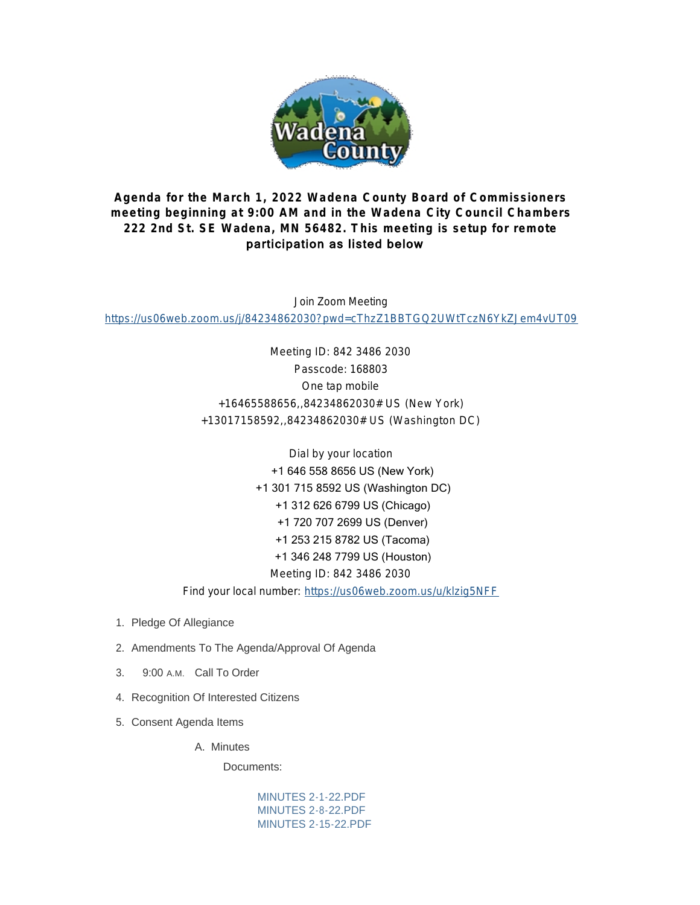

# **Agenda for the March 1, 2022 Wadena County Board of Commissioners meeting beginning at 9:00 AM and in the Wadena City Council Chambers 222 2nd St. SE Wadena, MN 56482. This meeting is setup for remote**  participation as listed below

Join Zoom Meeting <https://us06web.zoom.us/j/84234862030?pwd=cThzZ1BBTGQ2UWtTczN6YkZJem4vUT09>

> Meeting ID: 842 3486 2030 Passcode: 168803 One tap mobile +16465588656,,84234862030# US (New York) +13017158592,,84234862030# US (Washington DC)

> > Dial by your location +1 646 558 8656 US (New York) +1 301 715 8592 US (Washington DC) +1 312 626 6799 US (Chicago) +1 720 707 2699 US (Denver) +1 253 215 8782 US (Tacoma) +1 346 248 7799 US (Houston) Meeting ID: 842 3486 2030

Find your local number: <https://us06web.zoom.us/u/klzig5NFF>

- 1. Pledge Of Allegiance
- 2. Amendments To The Agenda/Approval Of Agenda
- 3. 9:00 A.M. Call To Order
- 4. Recognition Of Interested Citizens
- 5. Consent Agenda Items

A. Minutes

Documents:

[MINUTES 2-1-22.PDF](http://mn-wadenacounty.civicplus.com/AgendaCenter/ViewFile/Item/4653?fileID=7084) [MINUTES 2-8-22.PDF](http://mn-wadenacounty.civicplus.com/AgendaCenter/ViewFile/Item/4653?fileID=7087) [MINUTES 2-15-22.PDF](http://mn-wadenacounty.civicplus.com/AgendaCenter/ViewFile/Item/4653?fileID=7101)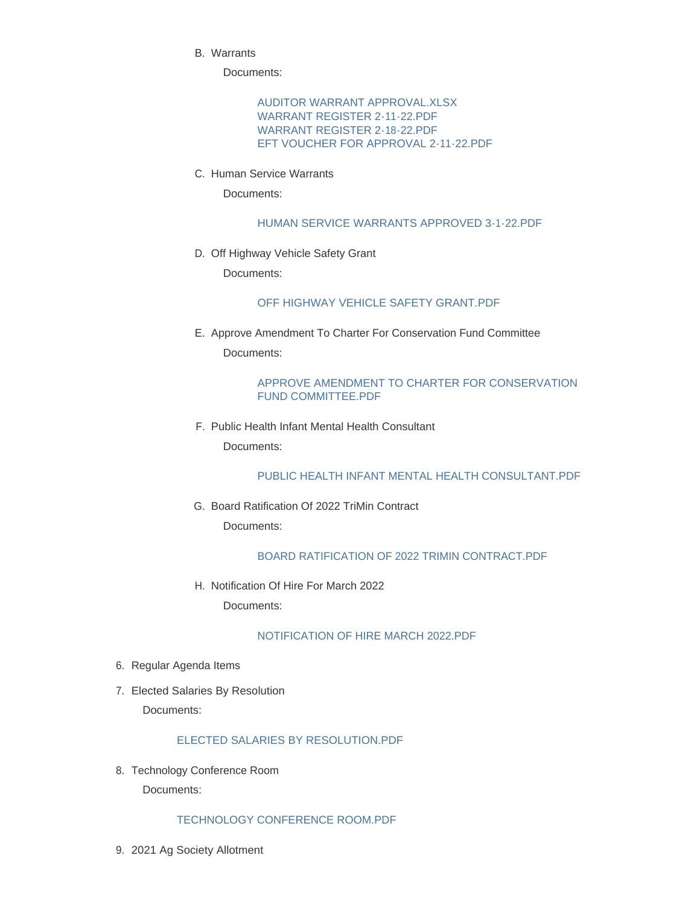Warrants B.

Documents:

[AUDITOR WARRANT APPROVAL.XLSX](http://mn-wadenacounty.civicplus.com/AgendaCenter/ViewFile/Item/4763?fileID=7079) [WARRANT REGISTER 2-11-22.PDF](http://mn-wadenacounty.civicplus.com/AgendaCenter/ViewFile/Item/4763?fileID=7080) [WARRANT REGISTER 2-18-22.PDF](http://mn-wadenacounty.civicplus.com/AgendaCenter/ViewFile/Item/4763?fileID=7081) [EFT VOUCHER FOR APPROVAL 2-11-22.PDF](http://mn-wadenacounty.civicplus.com/AgendaCenter/ViewFile/Item/4763?fileID=7082)

C. Human Service Warrants

Documents:

[HUMAN SERVICE WARRANTS APPROVED 3-1-22.PDF](http://mn-wadenacounty.civicplus.com/AgendaCenter/ViewFile/Item/4767?fileID=7089)

D. Off Highway Vehicle Safety Grant

Documents:

#### [OFF HIGHWAY VEHICLE SAFETY GRANT.PDF](http://mn-wadenacounty.civicplus.com/AgendaCenter/ViewFile/Item/4762?fileID=7078)

E. Approve Amendment To Charter For Conservation Fund Committee Documents:

### [APPROVE AMENDMENT TO CHARTER FOR CONSERVATION](http://mn-wadenacounty.civicplus.com/AgendaCenter/ViewFile/Item/4765?fileID=7085)  FUND COMMITTEE.PDF

F. Public Health Infant Mental Health Consultant Documents:

#### [PUBLIC HEALTH INFANT MENTAL HEALTH CONSULTANT.PDF](http://mn-wadenacounty.civicplus.com/AgendaCenter/ViewFile/Item/4766?fileID=7088)

G. Board Ratification Of 2022 TriMin Contract Documents:

# BOARD RATIFICATION OF 2022 TRIMIN CONTRACT PDF

H. Notification Of Hire For March 2022 Documents:

# [NOTIFICATION OF HIRE MARCH 2022.PDF](http://mn-wadenacounty.civicplus.com/AgendaCenter/ViewFile/Item/4764?fileID=7083)

- 6. Regular Agenda Items
- 7. Elected Salaries By Resolution

Documents:

# [ELECTED SALARIES BY RESOLUTION.PDF](http://mn-wadenacounty.civicplus.com/AgendaCenter/ViewFile/Item/4775?fileID=7099)

8. Technology Conference Room Documents:

# [TECHNOLOGY CONFERENCE ROOM.PDF](http://mn-wadenacounty.civicplus.com/AgendaCenter/ViewFile/Item/4774?fileID=7096)

2021 Ag Society Allotment 9.